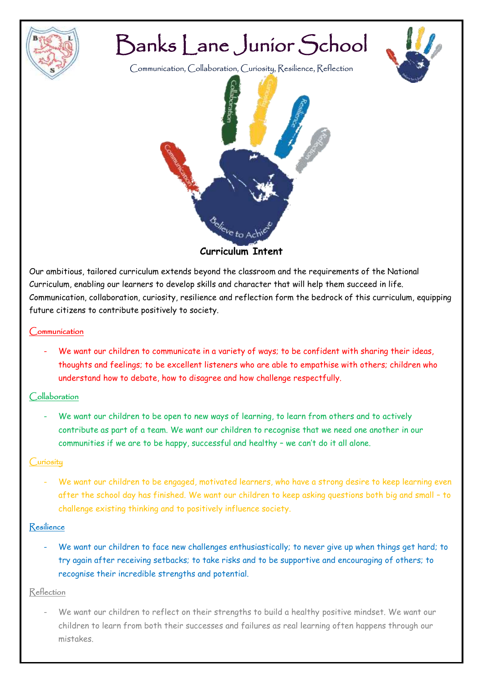

# Banks Lane Junior School

Communication, Collaboration, Curiosity, Resilience, Reflection



Our ambitious, tailored curriculum extends beyond the classroom and the requirements of the National Curriculum, enabling our learners to develop skills and character that will help them succeed in life. Communication, collaboration, curiosity, resilience and reflection form the bedrock of this curriculum, equipping future citizens to contribute positively to society.

# Communication

We want our children to communicate in a variety of ways; to be confident with sharing their ideas, thoughts and feelings; to be excellent listeners who are able to empathise with others; children who understand how to debate, how to disagree and how challenge respectfully.

# Collaboration

We want our children to be open to new ways of learning, to learn from others and to actively contribute as part of a team. We want our children to recognise that we need one another in our communities if we are to be happy, successful and healthy – we can't do it all alone.

# Curiosity

We want our children to be engaged, motivated learners, who have a strong desire to keep learning even after the school day has finished. We want our children to keep asking questions both big and small – to challenge existing thinking and to positively influence society.

# Resilience

We want our children to face new challenges enthusiastically; to never give up when things get hard; to try again after receiving setbacks; to take risks and to be supportive and encouraging of others; to recognise their incredible strengths and potential.

# Reflection

We want our children to reflect on their strengths to build a healthy positive mindset. We want our children to learn from both their successes and failures as real learning often happens through our mistakes.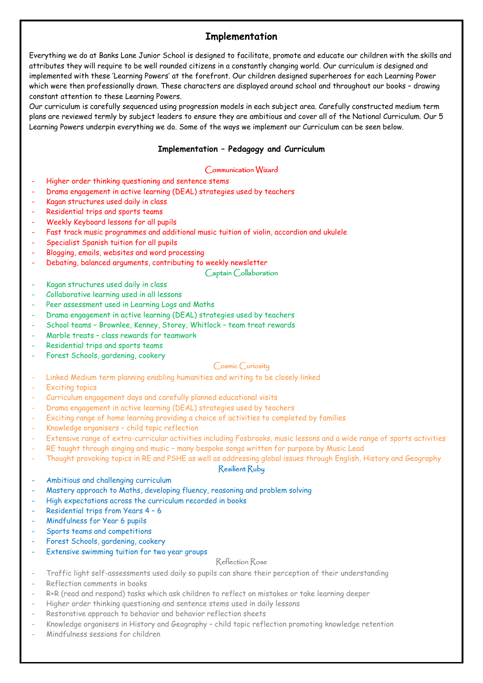# **Implementation**

Everything we do at Banks Lane Junior School is designed to facilitate, promote and educate our children with the skills and attributes they will require to be well rounded citizens in a constantly changing world. Our curriculum is designed and implemented with these 'Learning Powers' at the forefront. Our children designed superheroes for each Learning Power which were then professionally drawn. These characters are displayed around school and throughout our books – drawing constant attention to these Learning Powers.

Our curriculum is carefully sequenced using progression models in each subject area. Carefully constructed medium term plans are reviewed termly by subject leaders to ensure they are ambitious and cover all of the National Curriculum. Our 5 Learning Powers underpin everything we do. Some of the ways we implement our Curriculum can be seen below.

# **Implementation – Pedagogy and Curriculum**

## Communication Wizard

- Higher order thinking questioning and sentence stems
- Drama engagement in active learning (DEAL) strategies used by teachers
- Kagan structures used daily in class
- Residential trips and sports teams
- Weekly Keyboard lessons for all pupils
- Fast track music programmes and additional music tuition of violin, accordion and ukulele
- Specialist Spanish tuition for all pupils
- Blogging, emails, websites and word processing
- Debating, balanced arguments, contributing to weekly newsletter

#### Captain Collaboration

- Kagan structures used daily in class
- Collaborative learning used in all lessons
- Peer assessment used in Learning Logs and Maths
- Drama engagement in active learning (DEAL) strategies used by teachers
- School teams Brownlee, Kenney, Storey, Whitlock team treat rewards
- Marble treats class rewards for teamwork
- Residential trips and sports teams
- Forest Schools, gardening, cookery

#### Cosmic Curiosity

- Linked Medium term planning enabling humanities and writing to be closely linked
- Exciting topics
- Curriculum engagement days and carefully planned educational visits
- Drama engagement in active learning (DEAL) strategies used by teachers
- Exciting range of home learning providing a choice of activities to completed by families
- Knowledge organisers child topic reflection
- Extensive range of extra-curricular activities including Fosbrooks, music lessons and a wide range of sports activities
- RE taught through singing and music many bespoke songs written for purpose by Music Lead
- Thought provoking topics in RE and PSHE as well as addressing global issues through English, History and Geography

## Resilient Ruby

- Ambitious and challenging curriculum
- Mastery approach to Maths, developing fluency, reasoning and problem solving
- High expectations across the curriculum recorded in books
- Residential trips from Years 4 6
- Mindfulness for Year 6 pupils
- Sports teams and competitions
- Forest Schools, gardening, cookery
- Extensive swimming tuition for two year groups

#### Reflection Rose

- Traffic light self-assessments used daily so pupils can share their perception of their understanding
- Reflection comments in books
- R+R (read and respond) tasks which ask children to reflect on mistakes or take learning deeper
- Higher order thinking questioning and sentence stems used in daily lessons
- Restorative approach to behavior and behavior reflection sheets
- Knowledge organisers in History and Geography child topic reflection promoting knowledge retention
- Mindfulness sessions for children